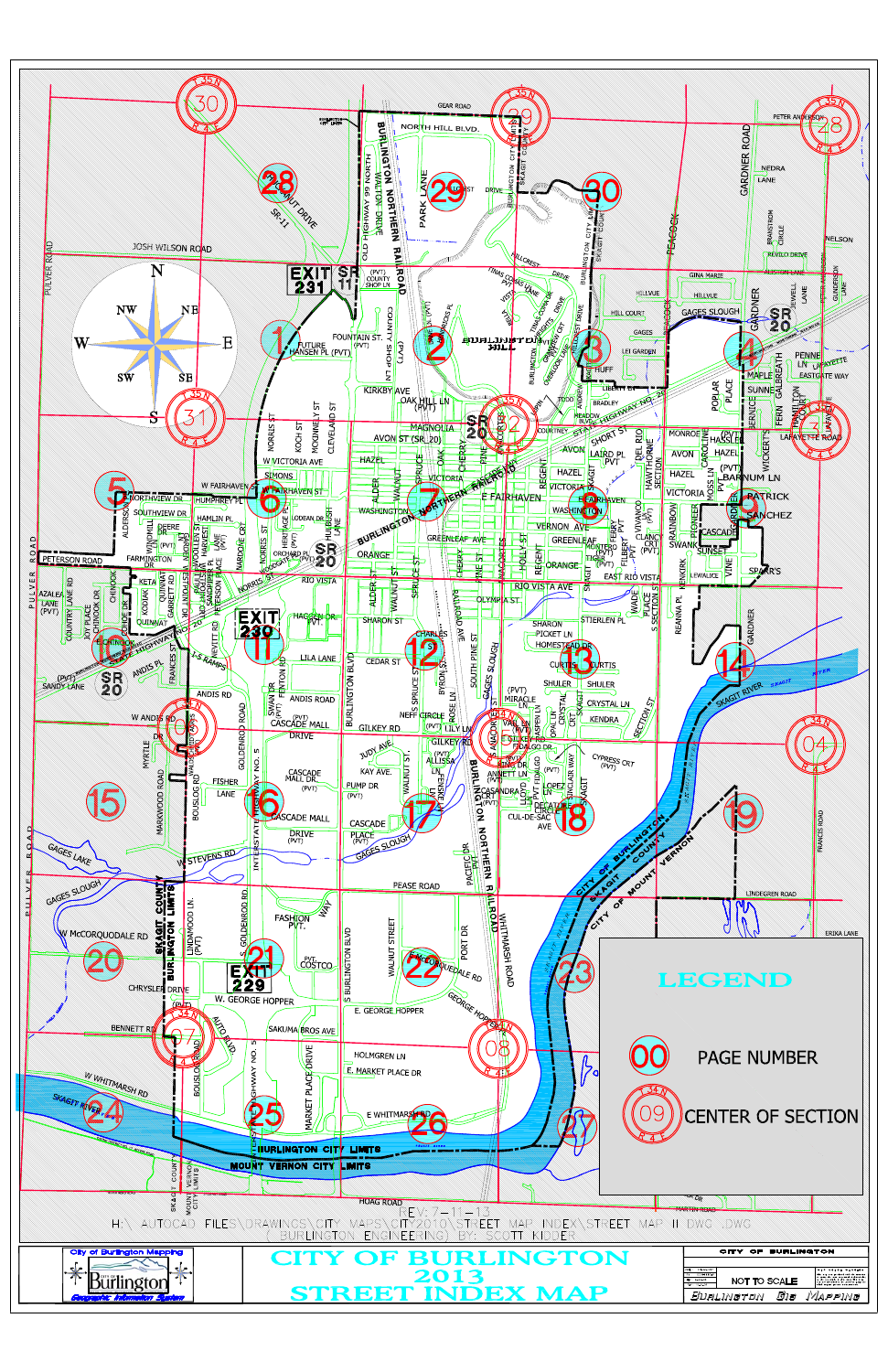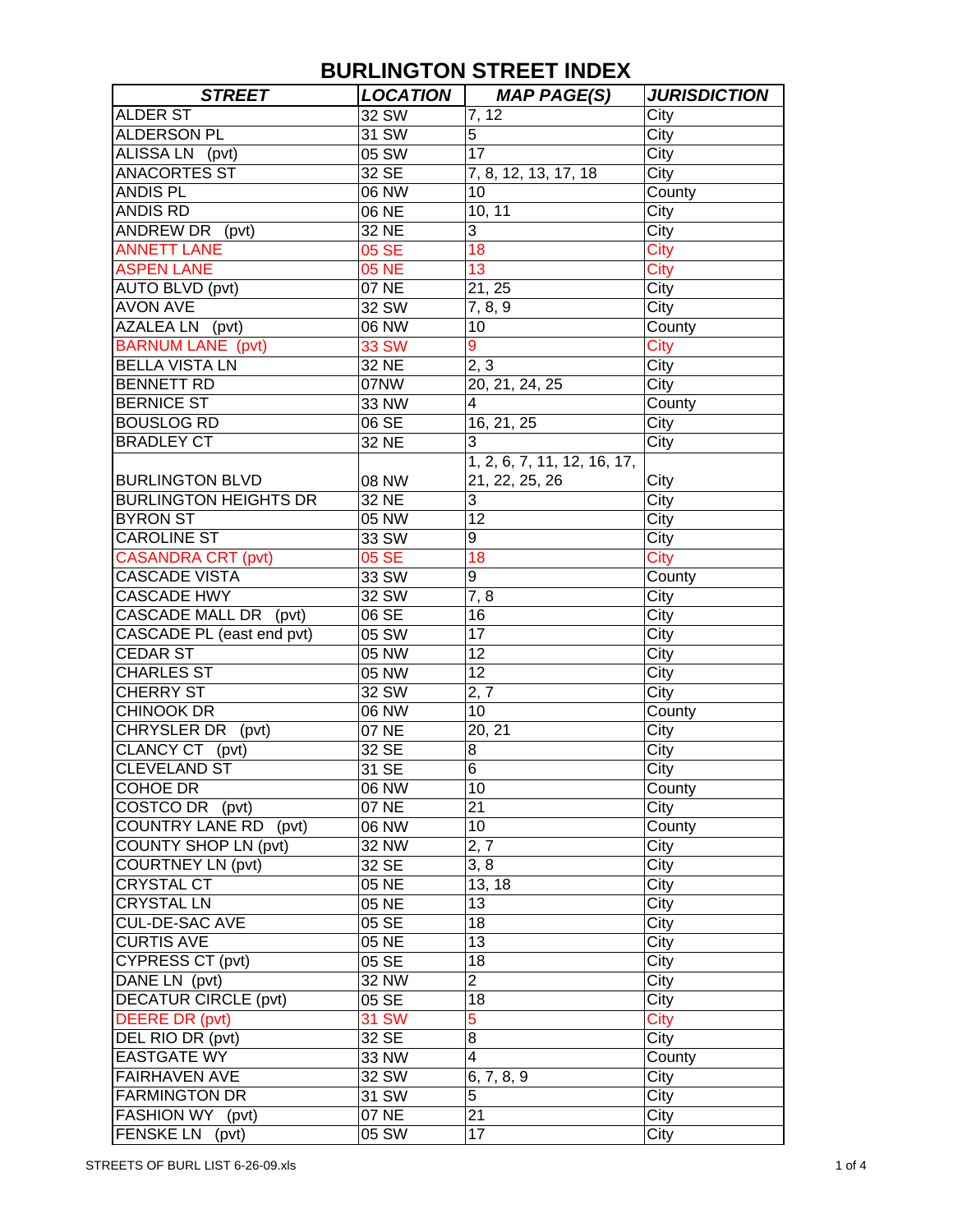| <b>STREET</b>                | <b>LOCATION</b> | <b>MAP PAGE(S)</b>          | <b>JURISDICTION</b> |
|------------------------------|-----------------|-----------------------------|---------------------|
| <b>ALDER ST</b>              | 32 SW           | 7, 12                       | City                |
| <b>ALDERSON PL</b>           | 31 SW           | 5                           | City                |
| ALISSA LN (pvt)              | 05 SW           | 17                          | City                |
| <b>ANACORTES ST</b>          | 32 SE           | 7, 8, 12, 13, 17, 18        | City                |
| <b>ANDIS PL</b>              | 06 NW           | 10                          | County              |
| <b>ANDIS RD</b>              | 06 NE           | 10, 11                      | City                |
| ANDREW DR (pvt)              | 32 NE           | 3                           | City                |
| <b>ANNETT LANE</b>           | 05 SE           | 18                          | City                |
| <b>ASPEN LANE</b>            | <b>05 NE</b>    | 13                          | City                |
| <b>AUTO BLVD (pvt)</b>       | 07 NE           | 21, 25                      | City                |
| <b>AVON AVE</b>              | 32 SW           | 7, 8, 9                     | City                |
| AZALEA LN (pvt)              | 06 NW           | 10                          | County              |
| <b>BARNUM LANE</b> (pvt)     | <b>33 SW</b>    | 9                           | City                |
| <b>BELLA VISTA LN</b>        | 32 NE           | 2, 3                        | City                |
| <b>BENNETT RD</b>            | 07NW            | 20, 21, 24, 25              | City                |
| <b>BERNICE ST</b>            | 33 NW           | 4                           | County              |
| <b>BOUSLOG RD</b>            | 06 SE           | 16, 21, 25                  | City                |
| <b>BRADLEY CT</b>            | 32 NE           | 3                           | City                |
|                              |                 | 1, 2, 6, 7, 11, 12, 16, 17, |                     |
| <b>BURLINGTON BLVD</b>       | 08 NW           | 21, 22, 25, 26              | City                |
| <b>BURLINGTON HEIGHTS DR</b> | 32 NE           | 3                           | City                |
| <b>BYRON ST</b>              | 05 NW           | 12                          | City                |
| <b>CAROLINE ST</b>           | 33 SW           | 9                           | City                |
| <b>CASANDRA CRT (pvt)</b>    | 05 SE           | 18                          | <b>City</b>         |
| <b>CASCADE VISTA</b>         | 33 SW           | 9                           | County              |
| <b>CASCADE HWY</b>           | 32 SW           | 7,8                         | City                |
| CASCADE MALL DR<br>(pvt)     | 06 SE           | 16                          | City                |
| CASCADE PL (east end pvt)    | 05 SW           | 17                          | City                |
| <b>CEDAR ST</b>              | 05 NW           | $\overline{1}2$             | City                |
| <b>CHARLES ST</b>            | 05 NW           | 12                          | City                |
| <b>CHERRY ST</b>             | 32 SW           | 2, 7                        | City                |
| <b>CHINOOK DR</b>            | 06 NW           | 10                          | County              |
| <b>CHRYSLER DR</b><br>(pvt)  | 07 NE           | 20, 21                      | City                |
| CLANCY CT (pvt)              | 32 SE           | 8                           | City                |
| <b>CLEVELAND ST</b>          | 31 SE           | 6                           | City                |
| <b>COHOE DR</b>              | 06 NW           | 10                          | County              |
| COSTCO DR (pvt)              | 07 NE           | 21                          | City                |
| COUNTRY LANE RD (pvt)        | 06 NW           | 10                          | County              |
| COUNTY SHOP LN (pvt)         | 32 NW           | 2, 7                        | City                |
| <b>COURTNEY LN (pvt)</b>     | 32 SE           | 3, 8                        | City                |
| <b>CRYSTAL CT</b>            | 05 NE           | 13, 18                      | City                |
| <b>CRYSTAL LN</b>            | 05 NE           | 13                          | City                |
| CUL-DE-SAC AVE               | 05 SE           | 18                          | City                |
| <b>CURTIS AVE</b>            | 05 NE           | 13                          | City                |
| CYPRESS CT (pvt)             | 05 SE           | 18                          | City                |
| DANE LN (pvt)                | 32 NW           | $\overline{2}$              | City                |
| <b>DECATUR CIRCLE (pvt)</b>  | 05 SE           | 18                          | City                |
| <b>DEERE DR (pvt)</b>        | <b>31 SW</b>    | 5                           | City                |
| DEL RIO DR (pvt)             | 32 SE           | 8                           | City                |
| <b>EASTGATE WY</b>           | 33 NW           | 4                           |                     |
| <b>FAIRHAVEN AVE</b>         | 32 SW           | 6, 7, 8, 9                  | County              |
| <b>FARMINGTON DR</b>         |                 | 5                           | City                |
|                              | 31 SW           |                             | City                |
| FASHION WY (pvt)             | 07 NE           | 21<br>17                    | City                |
| FENSKE LN (pvt)              | 05 SW           |                             | City                |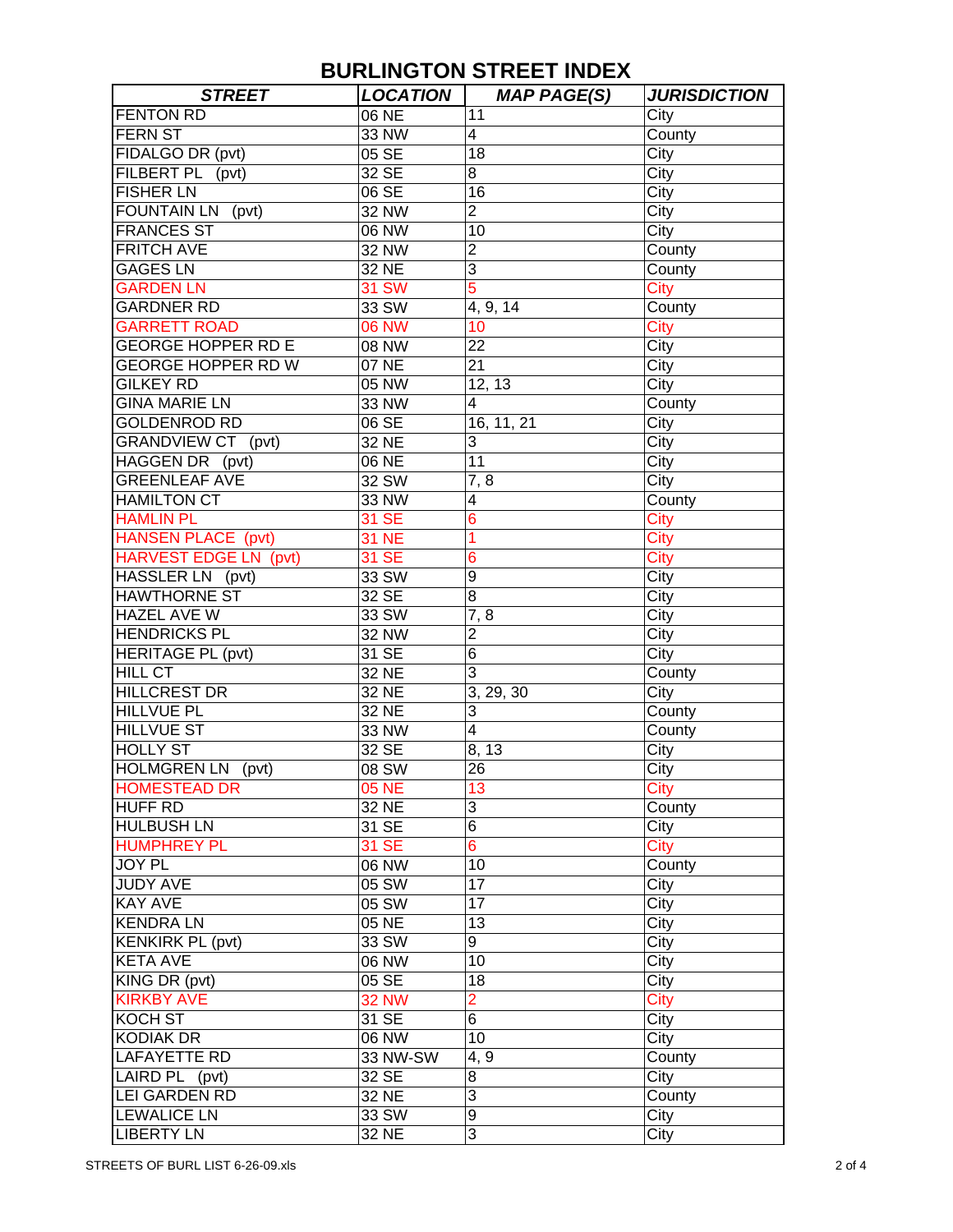| <b>STREET</b>                | <b>LOCATION</b> | <b>MAP PAGE(S)</b>      | <b>JURISDICTION</b> |
|------------------------------|-----------------|-------------------------|---------------------|
| <b>FENTON RD</b>             | 06 NE           | 11                      | City                |
| <b>FERN ST</b>               | 33 NW           | $\overline{\mathbf{4}}$ | County              |
| FIDALGO DR (pvt)             | 05 SE           | 18                      | City                |
| FILBERT PL (pvt)             | 32 SE           | 8                       | City                |
| <b>FISHER LN</b>             | 06 SE           | 16                      | City                |
| FOUNTAIN LN (pvt)            | <b>32 NW</b>    | $\overline{2}$          | City                |
| <b>FRANCES ST</b>            | 06 NW           | 10                      | City                |
| <b>FRITCH AVE</b>            | 32 NW           | $\overline{c}$          | County              |
| <b>GAGES LN</b>              | 32 NE           | 3                       | County              |
| <b>GARDEN LN</b>             | <b>31 SW</b>    | 5                       | City                |
| <b>GARDNER RD</b>            | 33 SW           | 4, 9, 14                | County              |
| <b>GARRETT ROAD</b>          | 06 NW           | 10                      | City                |
| <b>GEORGE HOPPER RD E</b>    | 08 NW           | 22                      | City                |
| <b>GEORGE HOPPER RD W</b>    | 07 NE           | 21                      | City                |
| <b>GILKEY RD</b>             | 05 NW           | 12, 13                  | City                |
| <b>GINA MARIE LN</b>         | 33 NW           | 4                       | County              |
| <b>GOLDENROD RD</b>          | 06 SE           | 16, 11, 21              | City                |
| GRANDVIEW CT (pvt)           | 32 NE           | 3                       | City                |
| HAGGEN DR (pvt)              | 06 NE           | 11                      | City                |
| <b>GREENLEAF AVE</b>         | 32 SW           | 7, 8                    | City                |
| <b>HAMILTON CT</b>           | 33 NW           | 4                       | County              |
| <b>HAMLIN PL</b>             | 31 SE           | 6                       | <b>City</b>         |
| <b>HANSEN PLACE (pvt)</b>    | <b>31 NE</b>    | 1                       | City                |
| <b>HARVEST EDGE LN (pvt)</b> | 31 SE           | 6                       | City                |
| HASSLER LN (pvt)             | 33 SW           | 9                       | City                |
| <b>HAWTHORNE ST</b>          | 32 SE           | 8                       | City                |
| <b>HAZEL AVE W</b>           | 33 SW           | 7, 8                    | City                |
| <b>HENDRICKS PL</b>          | <b>32 NW</b>    | $\overline{2}$          | City                |
| <b>HERITAGE PL (pvt)</b>     | 31 SE           | 6                       | City                |
| <b>HILL CT</b>               | 32 NE           | 3                       | County              |
| <b>HILLCREST DR</b>          | 32 NE           | 3, 29, 30               | City                |
| <b>HILLVUE PL</b>            | 32 NE           | 3                       | County              |
| <b>HILLVUE ST</b>            | 33 NW           | $\overline{4}$          | County              |
| <b>HOLLY ST</b>              | 32 SE           | 8, 13                   | City                |
| HOLMGREN LN (pvt)            | 08 SW           | 26                      | City                |
| <b>HOMESTEAD DR</b>          | 05 NE           | 13                      | City                |
| <b>HUFF RD</b>               | 32 NE           | 3                       | County              |
| <b>HULBUSH LN</b>            | 31 SE           | 6                       | City                |
| <b>HUMPHREY PL</b>           | 31 SE           | $6 \overline{6}$        | <b>City</b>         |
| JOY PL                       | 06 NW           | 10                      | County              |
| <b>JUDY AVE</b>              | 05 SW           | 17                      | City                |
| <b>KAY AVE</b>               | 05 SW           | 17                      | City                |
| <b>KENDRALN</b>              | 05 NE           | 13                      | City                |
| <b>KENKIRK PL (pvt)</b>      | 33 SW           | 9                       | City                |
| <b>KETA AVE</b>              | 06 NW           | 10                      | City                |
| KING DR (pvt)                | 05 SE           | 18                      | City                |
| <b>KIRKBY AVE</b>            | <b>32 NW</b>    | $\overline{2}$          | City                |
| <b>KOCH ST</b>               | 31 SE           | 6                       | City                |
| KODIAK DR                    | 06 NW           | 10                      | City                |
| <b>LAFAYETTE RD</b>          | 33 NW-SW        | 4, 9                    | County              |
| LAIRD PL (pvt)               | 32 SE           | 8                       | City                |
| <b>LEI GARDEN RD</b>         | 32 NE           | 3                       | County              |
| <b>LEWALICE LN</b>           | 33 SW           | $\boldsymbol{9}$        | City                |
| <b>LIBERTY LN</b>            | 32 NE           | 3                       | City                |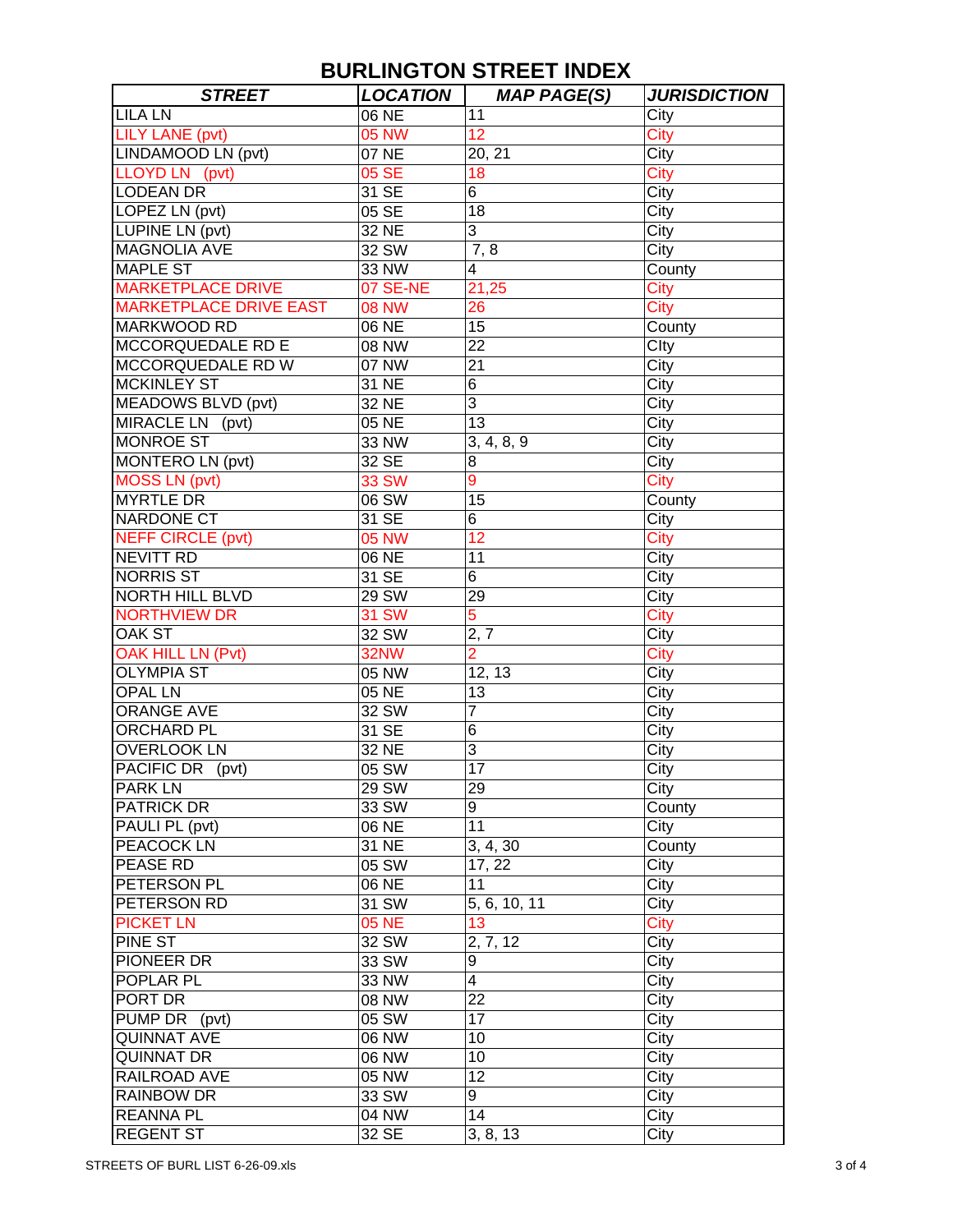| <b>STREET</b>                 | <b>LOCATION</b> | <b>MAP PAGE(S)</b>     | <b>JURISDICTION</b> |
|-------------------------------|-----------------|------------------------|---------------------|
| <b>LILA LN</b>                | 06 NE           | 11                     | City                |
| <b>LILY LANE (pvt)</b>        | <b>05 NW</b>    | 12 <sub>2</sub>        | City                |
| LINDAMOOD LN (pvt)            | 07 NE           | 20, 21                 | City                |
| LLOYD LN (pvt)                | 05 SE           | 18                     | City                |
| <b>LODEAN DR</b>              | 31 SE           | 6                      | City                |
| LOPEZ LN (pvt)                | 05 SE           | 18                     | City                |
| LUPINE LN (pvt)               | 32 NE           | 3                      | City                |
| <b>MAGNOLIA AVE</b>           | 32 SW           | 7,8                    | City                |
| <b>MAPLE ST</b>               | 33 NW           | $\overline{4}$         | County              |
| <b>MARKETPLACE DRIVE</b>      | 07 SE-NE        | 21,25                  | City                |
| <b>MARKETPLACE DRIVE EAST</b> | <b>08 NW</b>    | 26                     | City                |
| <b>MARKWOOD RD</b>            | 06 NE           | 15                     | County              |
| MCCORQUEDALE RD E             | 08 NW           | 22                     | Clty                |
| MCCORQUEDALE RD W             | 07 NW           | 21                     | City                |
| <b>MCKINLEY ST</b>            | 31 NE           | 6                      | City                |
| <b>MEADOWS BLVD (pvt)</b>     | 32 NE           | 3                      | City                |
| MIRACLE LN (pvt)              | 05 NE           | 13                     | City                |
| <b>MONROE ST</b>              | 33 NW           | 3, 4, 8, 9             | City                |
| MONTERO LN (pvt)              | 32 SE           | 8                      | City                |
| <b>MOSS LN (pvt)</b>          | <b>33 SW</b>    | 9                      | City                |
| <b>MYRTLE DR</b>              | 06 SW           | 15                     | County              |
| <b>NARDONE CT</b>             | 31 SE           | 6                      | City                |
| <b>NEFF CIRCLE (pvt)</b>      | <b>05 NW</b>    | 12                     | <b>City</b>         |
| <b>NEVITT RD</b>              | 06 NE           | 11                     | City                |
| <b>NORRIS ST</b>              | 31 SE           | 6                      |                     |
| <b>NORTH HILL BLVD</b>        |                 |                        | City                |
|                               | 29 SW           | 29                     | City                |
| <b>NORTHVIEW DR</b>           | <b>31 SW</b>    | 5                      | City                |
| <b>OAK ST</b>                 | 32 SW           | 2, 7<br>$\overline{2}$ | City                |
| <b>OAK HILL LN (Pvt)</b>      | 32NW            |                        | City                |
| <b>OLYMPIA ST</b>             | 05 NW           | 12, 13                 | City                |
| <b>OPAL LN</b>                | 05 NE           | 13                     | City                |
| ORANGE AVE                    | 32 SW           | $\overline{7}$         | City                |
| <b>ORCHARD PL</b>             | 31 SE           | 6                      | City                |
| <b>OVERLOOK LN</b>            | 32 NE           | 3                      | City                |
| PACIFIC DR (pvt)              | 05 SW           | 17                     | City                |
| <b>PARK LN</b>                | 29 SW           | 29                     | City                |
| <b>PATRICK DR</b>             | 33 SW           | 9                      | County              |
| PAULI PL (pvt)                | 06 NE           | 11                     | City                |
| <b>PEACOCK LN</b>             | 31 NE           | 3, 4, 30               | County              |
| <b>PEASE RD</b>               | 05 SW           | 17, 22                 | City                |
| PETERSON PL                   | 06 NE           | 11                     | City                |
| PETERSON RD                   | 31 SW           | 5, 6, 10, 11           | City                |
| <b>PICKET LN</b>              | <b>05 NE</b>    | 13 <sup>°</sup>        | City                |
| PINE ST                       | 32 SW           | 2, 7, 12               | City                |
| PIONEER DR                    | 33 SW           | 9                      | City                |
| POPLAR PL                     | 33 NW           | 4                      | City                |
| PORT DR                       | 08 NW           | 22                     | City                |
| PUMP DR (pvt)                 | 05 SW           | 17                     | City                |
| <b>QUINNAT AVE</b>            | 06 NW           | 10                     | City                |
| <b>QUINNAT DR</b>             | 06 NW           | 10                     | City                |
| RAILROAD AVE                  | 05 NW           | 12                     | City                |
| <b>RAINBOW DR</b>             | 33 SW           | 9                      | City                |
| <b>REANNA PL</b>              | 04 NW           | 14                     | City                |
| <b>REGENT ST</b>              | 32 SE           | 3, 8, 13               | City                |